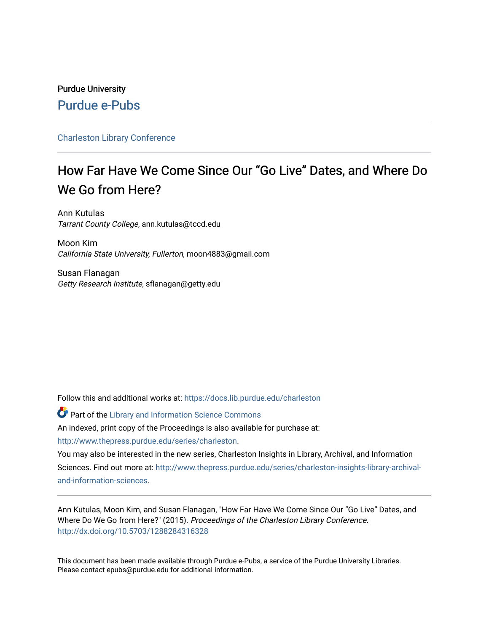# Purdue University [Purdue e-Pubs](https://docs.lib.purdue.edu/)

# [Charleston Library Conference](https://docs.lib.purdue.edu/charleston)

# How Far Have We Come Since Our "Go Live" Dates, and Where Do We Go from Here?

Ann Kutulas Tarrant County College, ann.kutulas@tccd.edu

Moon Kim California State University, Fullerton, moon4883@gmail.com

Susan Flanagan Getty Research Institute, sflanagan@getty.edu

Follow this and additional works at: [https://docs.lib.purdue.edu/charleston](https://docs.lib.purdue.edu/charleston?utm_source=docs.lib.purdue.edu%2Fcharleston%2F2015%2Ftechieissues%2F4&utm_medium=PDF&utm_campaign=PDFCoverPages) 

**Part of the Library and Information Science Commons** An indexed, print copy of the Proceedings is also available for purchase at:

[http://www.thepress.purdue.edu/series/charleston.](http://www.thepress.purdue.edu/series/charleston)

You may also be interested in the new series, Charleston Insights in Library, Archival, and Information Sciences. Find out more at: [http://www.thepress.purdue.edu/series/charleston-insights-library-archival](http://www.thepress.purdue.edu/series/charleston-insights-library-archival-and-information-sciences)[and-information-sciences](http://www.thepress.purdue.edu/series/charleston-insights-library-archival-and-information-sciences).

Ann Kutulas, Moon Kim, and Susan Flanagan, "How Far Have We Come Since Our "Go Live" Dates, and Where Do We Go from Here?" (2015). Proceedings of the Charleston Library Conference. <http://dx.doi.org/10.5703/1288284316328>

This document has been made available through Purdue e-Pubs, a service of the Purdue University Libraries. Please contact epubs@purdue.edu for additional information.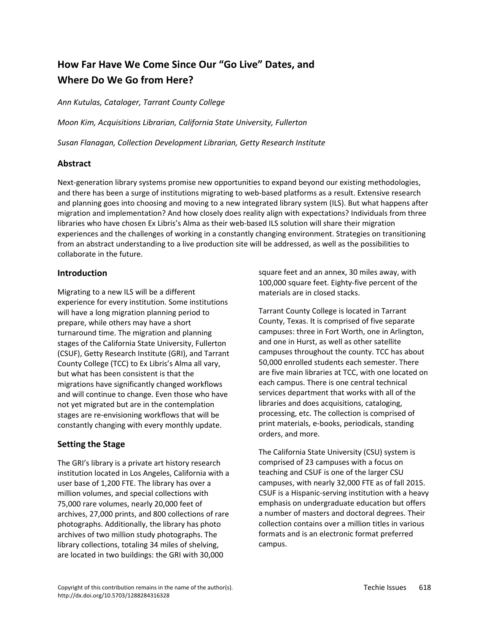# **How Far Have We Come Since Our "Go Live" Dates, and Where Do We Go from Here?**

*Ann Kutulas, Cataloger, Tarrant County College*

*Moon Kim, Acquisitions Librarian, California State University, Fullerton*

*Susan Flanagan, Collection Development Librarian, Getty Research Institute* 

### **Abstract**

Next-generation library systems promise new opportunities to expand beyond our existing methodologies, and there has been a surge of institutions migrating to web-based platforms as a result. Extensive research and planning goes into choosing and moving to a new integrated library system (ILS). But what happens after migration and implementation? And how closely does reality align with expectations? Individuals from three libraries who have chosen Ex Libris's Alma as their web‐based ILS solution will share their migration experiences and the challenges of working in a constantly changing environment. Strategies on transitioning from an abstract understanding to a live production site will be addressed, as well as the possibilities to collaborate in the future.

### **Introduction**

Migrating to a new ILS will be a different experience for every institution. Some institutions will have a long migration planning period to prepare, while others may have a short turnaround time. The migration and planning stages of the California State University, Fullerton (CSUF), Getty Research Institute (GRI), and Tarrant County College (TCC) to Ex Libris's Alma all vary, but what has been consistent is that the migrations have significantly changed workflows and will continue to change. Even those who have not yet migrated but are in the contemplation stages are re‐envisioning workflows that will be constantly changing with every monthly update.

# **Setting the Stage**

The GRI's library is a private art history research institution located in Los Angeles, California with a user base of 1,200 FTE. The library has over a million volumes, and special collections with 75,000 rare volumes, nearly 20,000 feet of archives, 27,000 prints, and 800 collections of rare photographs. Additionally, the library has photo archives of two million study photographs. The library collections, totaling 34 miles of shelving, are located in two buildings: the GRI with 30,000

square feet and an annex, 30 miles away, with 100,000 square feet. Eighty‐five percent of the materials are in closed stacks.

Tarrant County College is located in Tarrant County, Texas. It is comprised of five separate campuses: three in Fort Worth, one in Arlington, and one in Hurst, as well as other satellite campuses throughout the county. TCC has about 50,000 enrolled students each semester. There are five main libraries at TCC, with one located on each campus. There is one central technical services department that works with all of the libraries and does acquisitions, cataloging, processing, etc. The collection is comprised of print materials, e‐books, periodicals, standing orders, and more.

The California State University (CSU) system is comprised of 23 campuses with a focus on teaching and CSUF is one of the larger CSU campuses, with nearly 32,000 FTE as of fall 2015. CSUF is a Hispanic‐serving institution with a heavy emphasis on undergraduate education but offers a number of masters and doctoral degrees. Their collection contains over a million titles in various formats and is an electronic format preferred campus.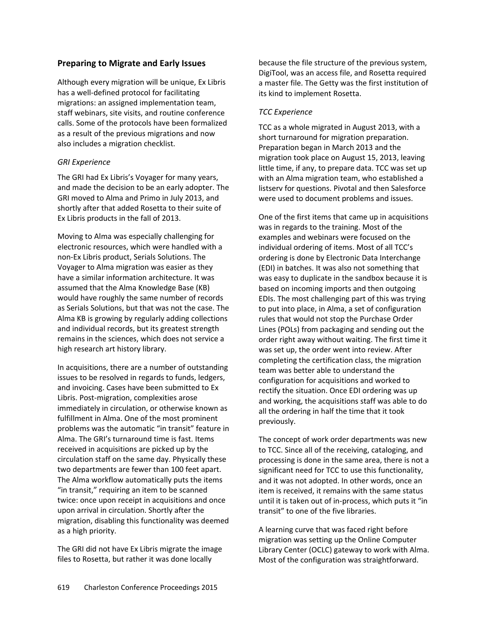# **Preparing to Migrate and Early Issues**

Although every migration will be unique, Ex Libris has a well‐defined protocol for facilitating migrations: an assigned implementation team, staff webinars, site visits, and routine conference calls. Some of the protocols have been formalized as a result of the previous migrations and now also includes a migration checklist.

### *GRI Experience*

The GRI had Ex Libris's Voyager for many years, and made the decision to be an early adopter. The GRI moved to Alma and Primo in July 2013, and shortly after that added Rosetta to their suite of Ex Libris products in the fall of 2013.

Moving to Alma was especially challenging for electronic resources, which were handled with a non‐Ex Libris product, Serials Solutions. The Voyager to Alma migration was easier as they have a similar information architecture. It was assumed that the Alma Knowledge Base (KB) would have roughly the same number of records as Serials Solutions, but that was not the case. The Alma KB is growing by regularly adding collections and individual records, but its greatest strength remains in the sciences, which does not service a high research art history library.

In acquisitions, there are a number of outstanding issues to be resolved in regards to funds, ledgers, and invoicing. Cases have been submitted to Ex Libris. Post‐migration, complexities arose immediately in circulation, or otherwise known as fulfillment in Alma. One of the most prominent problems was the automatic "in transit" feature in Alma. The GRI's turnaround time is fast. Items received in acquisitions are picked up by the circulation staff on the same day. Physically these two departments are fewer than 100 feet apart. The Alma workflow automatically puts the items "in transit," requiring an item to be scanned twice: once upon receipt in acquisitions and once upon arrival in circulation. Shortly after the migration, disabling this functionality was deemed as a high priority.

The GRI did not have Ex Libris migrate the image files to Rosetta, but rather it was done locally

because the file structure of the previous system, DigiTool, was an access file, and Rosetta required a master file. The Getty was the first institution of its kind to implement Rosetta.

#### *TCC Experience*

TCC as a whole migrated in August 2013, with a short turnaround for migration preparation. Preparation began in March 2013 and the migration took place on August 15, 2013, leaving little time, if any, to prepare data. TCC was set up with an Alma migration team, who established a listserv for questions. Pivotal and then Salesforce were used to document problems and issues.

One of the first items that came up in acquisitions was in regards to the training. Most of the examples and webinars were focused on the individual ordering of items. Most of all TCC's ordering is done by Electronic Data Interchange (EDI) in batches. It was also not something that was easy to duplicate in the sandbox because it is based on incoming imports and then outgoing EDIs. The most challenging part of this was trying to put into place, in Alma, a set of configuration rules that would not stop the Purchase Order Lines (POLs) from packaging and sending out the order right away without waiting. The first time it was set up, the order went into review. After completing the certification class, the migration team was better able to understand the configuration for acquisitions and worked to rectify the situation. Once EDI ordering was up and working, the acquisitions staff was able to do all the ordering in half the time that it took previously.

The concept of work order departments was new to TCC. Since all of the receiving, cataloging, and processing is done in the same area, there is not a significant need for TCC to use this functionality, and it was not adopted. In other words, once an item is received, it remains with the same status until it is taken out of in‐process, which puts it "in transit" to one of the five libraries.

A learning curve that was faced right before migration was setting up the Online Computer Library Center (OCLC) gateway to work with Alma. Most of the configuration was straightforward.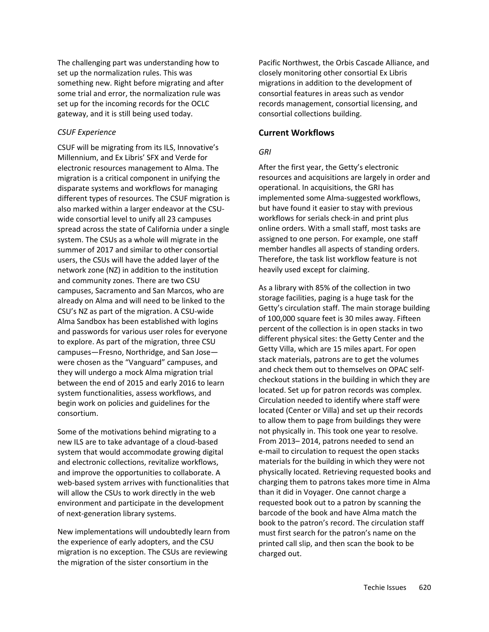The challenging part was understanding how to set up the normalization rules. This was something new. Right before migrating and after some trial and error, the normalization rule was set up for the incoming records for the OCLC gateway, and it is still being used today.

#### *CSUF Experience*

CSUF will be migrating from its ILS, Innovative's Millennium, and Ex Libris' SFX and Verde for electronic resources management to Alma. The migration is a critical component in unifying the disparate systems and workflows for managing different types of resources. The CSUF migration is also marked within a larger endeavor at the CSU‐ wide consortial level to unify all 23 campuses spread across the state of California under a single system. The CSUs as a whole will migrate in the summer of 2017 and similar to other consortial users, the CSUs will have the added layer of the network zone (NZ) in addition to the institution and community zones. There are two CSU campuses, Sacramento and San Marcos, who are already on Alma and will need to be linked to the CSU's NZ as part of the migration. A CSU‐wide Alma Sandbox has been established with logins and passwords for various user roles for everyone to explore. As part of the migration, three CSU campuses—Fresno, Northridge, and San Jose were chosen as the "Vanguard" campuses, and they will undergo a mock Alma migration trial between the end of 2015 and early 2016 to learn system functionalities, assess workflows, and begin work on policies and guidelines for the consortium.

Some of the motivations behind migrating to a new ILS are to take advantage of a cloud‐based system that would accommodate growing digital and electronic collections, revitalize workflows, and improve the opportunities to collaborate. A web-based system arrives with functionalities that will allow the CSUs to work directly in the web environment and participate in the development of next‐generation library systems.

New implementations will undoubtedly learn from the experience of early adopters, and the CSU migration is no exception. The CSUs are reviewing the migration of the sister consortium in the

Pacific Northwest, the Orbis Cascade Alliance, and closely monitoring other consortial Ex Libris migrations in addition to the development of consortial features in areas such as vendor records management, consortial licensing, and consortial collections building.

### **Current Workflows**

# *GRI*

After the first year, the Getty's electronic resources and acquisitions are largely in order and operational. In acquisitions, the GRI has implemented some Alma‐suggested workflows, but have found it easier to stay with previous workflows for serials check‐in and print plus online orders. With a small staff, most tasks are assigned to one person. For example, one staff member handles all aspects of standing orders. Therefore, the task list workflow feature is not heavily used except for claiming.

As a library with 85% of the collection in two storage facilities, paging is a huge task for the Getty's circulation staff. The main storage building of 100,000 square feet is 30 miles away. Fifteen percent of the collection is in open stacks in two different physical sites: the Getty Center and the Getty Villa, which are 15 miles apart. For open stack materials, patrons are to get the volumes and check them out to themselves on OPAC self‐ checkout stations in the building in which they are located. Set up for patron records was complex. Circulation needed to identify where staff were located (Center or Villa) and set up their records to allow them to page from buildings they were not physically in. This took one year to resolve. From 2013– 2014, patrons needed to send an e‐mail to circulation to request the open stacks materials for the building in which they were not physically located. Retrieving requested books and charging them to patrons takes more time in Alma than it did in Voyager. One cannot charge a requested book out to a patron by scanning the barcode of the book and have Alma match the book to the patron's record. The circulation staff must first search for the patron's name on the printed call slip, and then scan the book to be charged out.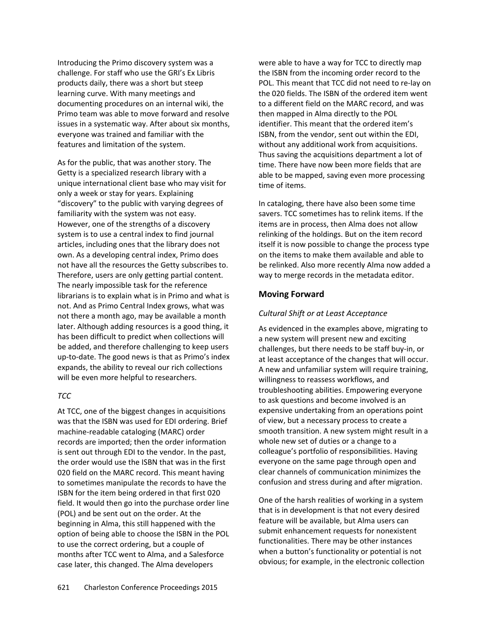Introducing the Primo discovery system was a challenge. For staff who use the GRI's Ex Libris products daily, there was a short but steep learning curve. With many meetings and documenting procedures on an internal wiki, the Primo team was able to move forward and resolve issues in a systematic way. After about six months, everyone was trained and familiar with the features and limitation of the system.

As for the public, that was another story. The Getty is a specialized research library with a unique international client base who may visit for only a week or stay for years. Explaining "discovery" to the public with varying degrees of familiarity with the system was not easy. However, one of the strengths of a discovery system is to use a central index to find journal articles, including ones that the library does not own. As a developing central index, Primo does not have all the resources the Getty subscribes to. Therefore, users are only getting partial content. The nearly impossible task for the reference librarians is to explain what is in Primo and what is not. And as Primo Central Index grows, what was not there a month ago, may be available a month later. Although adding resources is a good thing, it has been difficult to predict when collections will be added, and therefore challenging to keep users up‐to‐date. The good news is that as Primo's index expands, the ability to reveal our rich collections will be even more helpful to researchers.

#### *TCC*

At TCC, one of the biggest changes in acquisitions was that the ISBN was used for EDI ordering. Brief machine‐readable cataloging (MARC) order records are imported; then the order information is sent out through EDI to the vendor. In the past, the order would use the ISBN that was in the first 020 field on the MARC record. This meant having to sometimes manipulate the records to have the ISBN for the item being ordered in that first 020 field. It would then go into the purchase order line (POL) and be sent out on the order. At the beginning in Alma, this still happened with the option of being able to choose the ISBN in the POL to use the correct ordering, but a couple of months after TCC went to Alma, and a Salesforce case later, this changed. The Alma developers

were able to have a way for TCC to directly map the ISBN from the incoming order record to the POL. This meant that TCC did not need to re‐lay on the 020 fields. The ISBN of the ordered item went to a different field on the MARC record, and was then mapped in Alma directly to the POL identifier. This meant that the ordered item's ISBN, from the vendor, sent out within the EDI, without any additional work from acquisitions. Thus saving the acquisitions department a lot of time. There have now been more fields that are able to be mapped, saving even more processing time of items.

In cataloging, there have also been some time savers. TCC sometimes has to relink items. If the items are in process, then Alma does not allow relinking of the holdings. But on the item record itself it is now possible to change the process type on the items to make them available and able to be relinked. Also more recently Alma now added a way to merge records in the metadata editor.

# **Moving Forward**

#### *Cultural Shift or at Least Acceptance*

As evidenced in the examples above, migrating to a new system will present new and exciting challenges, but there needs to be staff buy‐in, or at least acceptance of the changes that will occur. A new and unfamiliar system will require training, willingness to reassess workflows, and troubleshooting abilities. Empowering everyone to ask questions and become involved is an expensive undertaking from an operations point of view, but a necessary process to create a smooth transition. A new system might result in a whole new set of duties or a change to a colleague's portfolio of responsibilities. Having everyone on the same page through open and clear channels of communication minimizes the confusion and stress during and after migration.

One of the harsh realities of working in a system that is in development is that not every desired feature will be available, but Alma users can submit enhancement requests for nonexistent functionalities. There may be other instances when a button's functionality or potential is not obvious; for example, in the electronic collection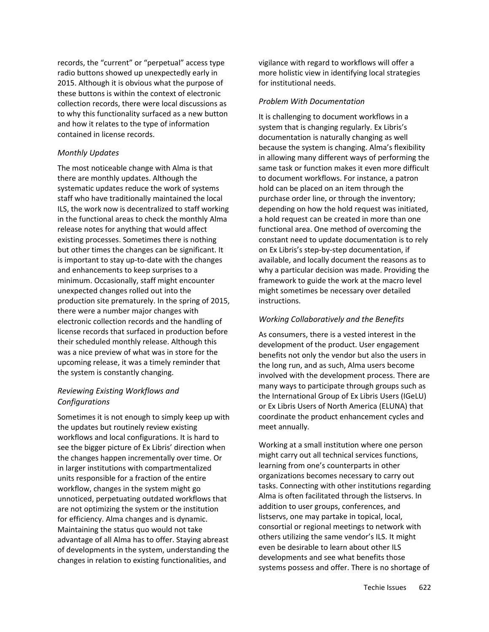records, the "current" or "perpetual" access type radio buttons showed up unexpectedly early in 2015. Although it is obvious what the purpose of these buttons is within the context of electronic collection records, there were local discussions as to why this functionality surfaced as a new button and how it relates to the type of information contained in license records.

#### *Monthly Updates*

The most noticeable change with Alma is that there are monthly updates. Although the systematic updates reduce the work of systems staff who have traditionally maintained the local ILS, the work now is decentralized to staff working in the functional areas to check the monthly Alma release notes for anything that would affect existing processes. Sometimes there is nothing but other times the changes can be significant. It is important to stay up-to-date with the changes and enhancements to keep surprises to a minimum. Occasionally, staff might encounter unexpected changes rolled out into the production site prematurely. In the spring of 2015, there were a number major changes with electronic collection records and the handling of license records that surfaced in production before their scheduled monthly release. Although this was a nice preview of what was in store for the upcoming release, it was a timely reminder that the system is constantly changing.

# *Reviewing Existing Workflows and Configurations*

Sometimes it is not enough to simply keep up with the updates but routinely review existing workflows and local configurations. It is hard to see the bigger picture of Ex Libris' direction when the changes happen incrementally over time. Or in larger institutions with compartmentalized units responsible for a fraction of the entire workflow, changes in the system might go unnoticed, perpetuating outdated workflows that are not optimizing the system or the institution for efficiency. Alma changes and is dynamic. Maintaining the status quo would not take advantage of all Alma has to offer. Staying abreast of developments in the system, understanding the changes in relation to existing functionalities, and

vigilance with regard to workflows will offer a more holistic view in identifying local strategies for institutional needs.

#### *Problem With Documentation*

It is challenging to document workflows in a system that is changing regularly. Ex Libris's documentation is naturally changing as well because the system is changing. Alma's flexibility in allowing many different ways of performing the same task or function makes it even more difficult to document workflows. For instance, a patron hold can be placed on an item through the purchase order line, or through the inventory; depending on how the hold request was initiated, a hold request can be created in more than one functional area. One method of overcoming the constant need to update documentation is to rely on Ex Libris's step‐by‐step documentation, if available, and locally document the reasons as to why a particular decision was made. Providing the framework to guide the work at the macro level might sometimes be necessary over detailed instructions.

### *Working Collaboratively and the Benefits*

As consumers, there is a vested interest in the development of the product. User engagement benefits not only the vendor but also the users in the long run, and as such, Alma users become involved with the development process. There are many ways to participate through groups such as the International Group of Ex Libris Users (IGeLU) or Ex Libris Users of North America (ELUNA) that coordinate the product enhancement cycles and meet annually.

Working at a small institution where one person might carry out all technical services functions, learning from one's counterparts in other organizations becomes necessary to carry out tasks. Connecting with other institutions regarding Alma is often facilitated through the listservs. In addition to user groups, conferences, and listservs, one may partake in topical, local, consortial or regional meetings to network with others utilizing the same vendor's ILS. It might even be desirable to learn about other ILS developments and see what benefits those systems possess and offer. There is no shortage of